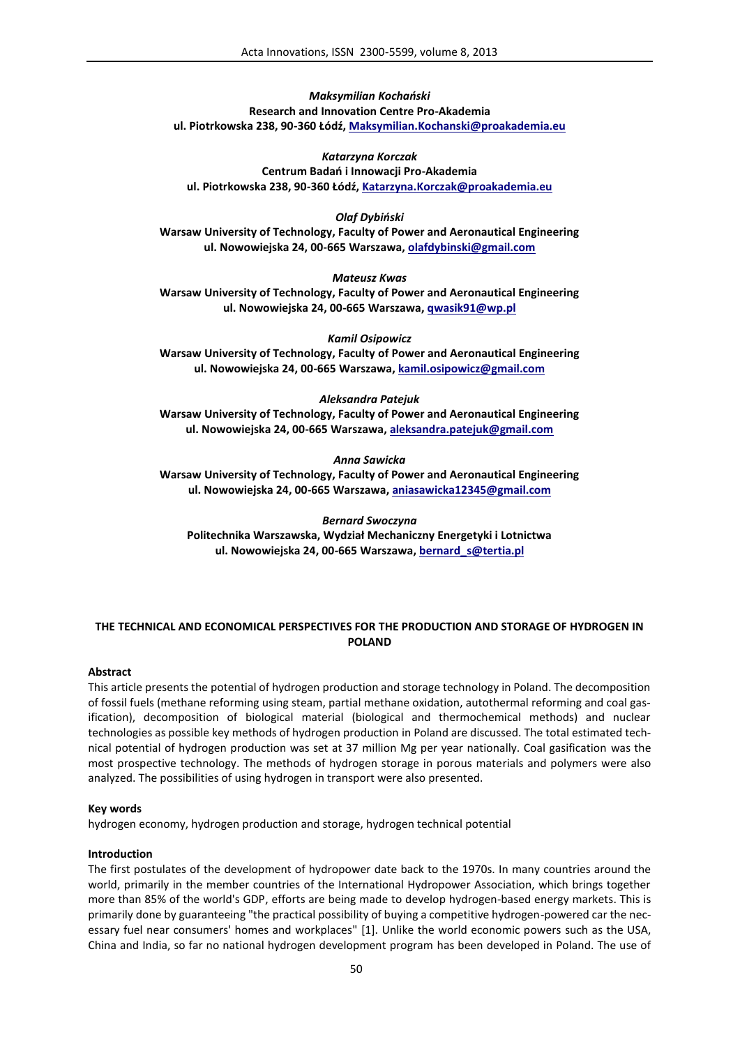*Maksymilian Kochański* **Research and Innovation Centre Pro-Akademia ul. Piotrkowska 238, 90-360 Łódź, Maksymilian.Kochanski@proakademia.eu**

*Katarzyna Korczak* **Centrum Badań i Innowacji Pro-Akademia ul. Piotrkowska 238, 90-360 Łódź, Katarzyna.Korczak@proakademia.eu**

*Olaf Dybiński* **Warsaw University of Technology, Faculty of Power and Aeronautical Engineering ul. Nowowiejska 24, 00-665 Warszawa, olafdybinski@gmail.com**

*Mateusz Kwas* **Warsaw University of Technology, Faculty of Power and Aeronautical Engineering ul. Nowowiejska 24, 00-665 Warszawa, qwasik91@wp.pl**

*Kamil Osipowicz* **Warsaw University of Technology, Faculty of Power and Aeronautical Engineering ul. Nowowiejska 24, 00-665 Warszawa, kamil.osipowicz@gmail.com**

*Aleksandra Patejuk*

**Warsaw University of Technology, Faculty of Power and Aeronautical Engineering ul. Nowowiejska 24, 00-665 Warszawa, aleksandra.patejuk@gmail.com**

*Anna Sawicka*

**Warsaw University of Technology, Faculty of Power and Aeronautical Engineering ul. Nowowiejska 24, 00-665 Warszawa, aniasawicka12345@gmail.com**

*Bernard Swoczyna* **Politechnika Warszawska, Wydział Mechaniczny Energetyki i Lotnictwa ul. Nowowiejska 24, 00-665 Warszawa, bernard\_s@tertia.pl**

# **THE TECHNICAL AND ECONOMICAL PERSPECTIVES FOR THE PRODUCTION AND STORAGE OF HYDROGEN IN POLAND**

### **Abstract**

This article presents the potential of hydrogen production and storage technology in Poland. The decomposition of fossil fuels (methane reforming using steam, partial methane oxidation, autothermal reforming and coal gasification), decomposition of biological material (biological and thermochemical methods) and nuclear technologies as possible key methods of hydrogen production in Poland are discussed. The total estimated technical potential of hydrogen production was set at 37 million Mg per year nationally. Coal gasification was the most prospective technology. The methods of hydrogen storage in porous materials and polymers were also analyzed. The possibilities of using hydrogen in transport were also presented.

#### **Key words**

hydrogen economy, hydrogen production and storage, hydrogen technical potential

#### **Introduction**

The first postulates of the development of hydropower date back to the 1970s. In many countries around the world, primarily in the member countries of the International Hydropower Association, which brings together more than 85% of the world's GDP, efforts are being made to develop hydrogen-based energy markets. This is primarily done by guaranteeing "the practical possibility of buying a competitive hydrogen-powered car the necessary fuel near consumers' homes and workplaces" [1]. Unlike the world economic powers such as the USA, China and India, so far no national hydrogen development program has been developed in Poland. The use of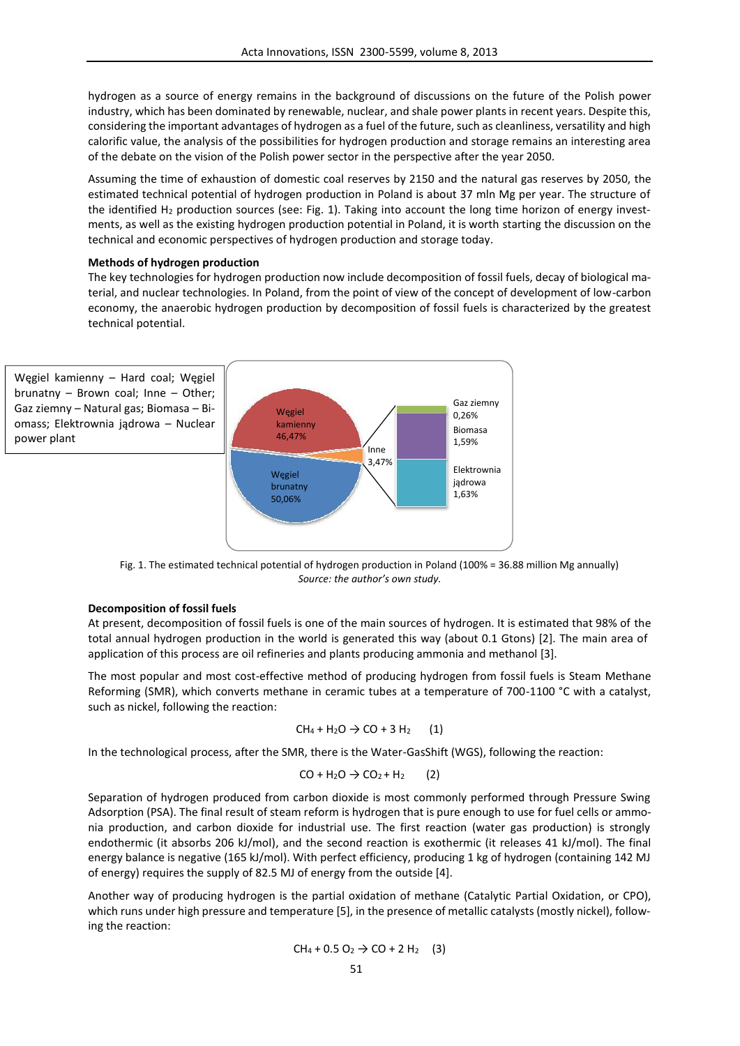hydrogen as a source of energy remains in the background of discussions on the future of the Polish power industry, which has been dominated by renewable, nuclear, and shale power plants in recent years. Despite this, considering the important advantages of hydrogen as a fuel of the future, such as cleanliness, versatility and high calorific value, the analysis of the possibilities for hydrogen production and storage remains an interesting area of the debate on the vision of the Polish power sector in the perspective after the year 2050.

Assuming the time of exhaustion of domestic coal reserves by 2150 and the natural gas reserves by 2050, the estimated technical potential of hydrogen production in Poland is about 37 mln Mg per year. The structure of the identified H<sub>2</sub> production sources (see: Fig. 1). Taking into account the long time horizon of energy investments, as well as the existing hydrogen production potential in Poland, it is worth starting the discussion on the technical and economic perspectives of hydrogen production and storage today.

### **Methods of hydrogen production**

The key technologies for hydrogen production now include decomposition of fossil fuels, decay of biological material, and nuclear technologies. In Poland, from the point of view of the concept of development of low-carbon economy, the anaerobic hydrogen production by decomposition of fossil fuels is characterized by the greatest technical potential.



Fig. 1. The estimated technical potential of hydrogen production in Poland (100% = 36.88 million Mg annually) *Source: the author's own study.*

### **Decomposition of fossil fuels**

At present, decomposition of fossil fuels is one of the main sources of hydrogen. It is estimated that 98% of the total annual hydrogen production in the world is generated this way (about 0.1 Gtons) [2]. The main area of application of this process are oil refineries and plants producing ammonia and methanol [3].

The most popular and most cost-effective method of producing hydrogen from fossil fuels is Steam Methane Reforming (SMR), which converts methane in ceramic tubes at a temperature of 700-1100 °C with a catalyst, such as nickel, following the reaction:

$$
CH_4 + H_2O \rightarrow CO + 3 H_2 \qquad (1)
$$

In the technological process, after the SMR, there is the Water-GasShift (WGS), following the reaction:

$$
CO + H2O \rightarrow CO2 + H2 (2)
$$

Separation of hydrogen produced from carbon dioxide is most commonly performed through Pressure Swing Adsorption (PSA). The final result of steam reform is hydrogen that is pure enough to use for fuel cells or ammonia production, and carbon dioxide for industrial use. The first reaction (water gas production) is strongly endothermic (it absorbs 206 kJ/mol), and the second reaction is exothermic (it releases 41 kJ/mol). The final energy balance is negative (165 kJ/mol). With perfect efficiency, producing 1 kg of hydrogen (containing 142 MJ of energy) requires the supply of 82.5 MJ of energy from the outside [4].

Another way of producing hydrogen is the partial oxidation of methane (Catalytic Partial Oxidation, or CPO), which runs under high pressure and temperature [5], in the presence of metallic catalysts (mostly nickel), following the reaction:

$$
CH_4 + 0.5 O_2 \rightarrow CO + 2 H_2
$$
 (3)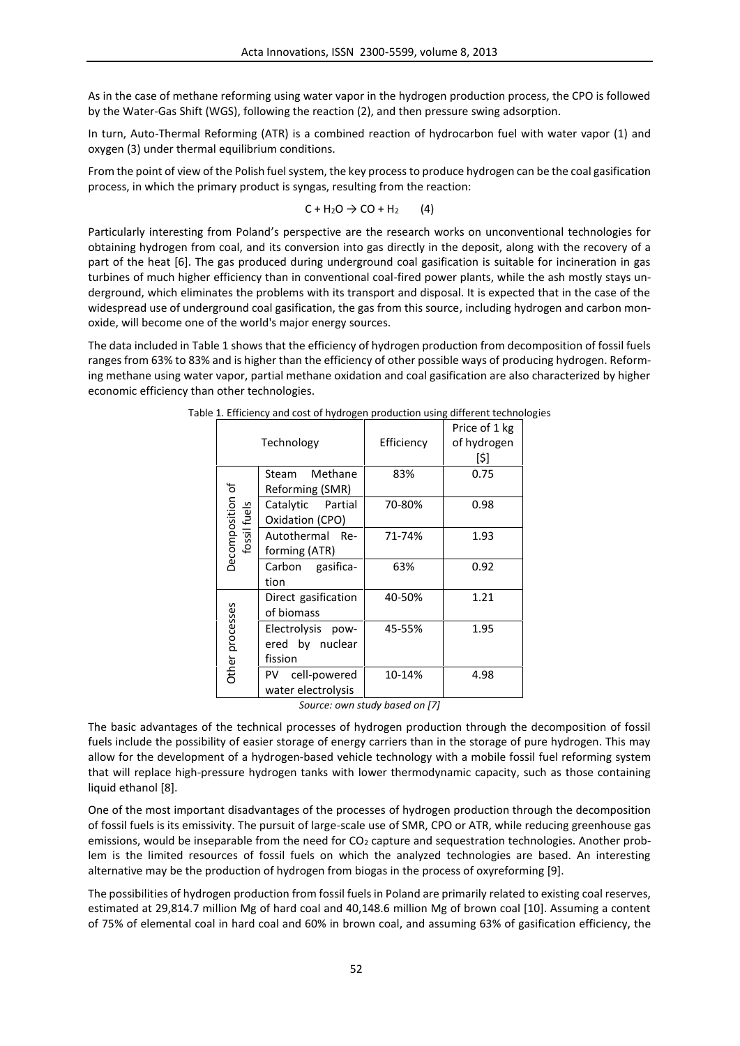As in the case of methane reforming using water vapor in the hydrogen production process, the CPO is followed by the Water-Gas Shift (WGS), following the reaction (2), and then pressure swing adsorption.

In turn, Auto-Thermal Reforming (ATR) is a combined reaction of hydrocarbon fuel with water vapor (1) and oxygen (3) under thermal equilibrium conditions.

From the point of view of the Polish fuel system, the key process to produce hydrogen can be the coal gasification process, in which the primary product is syngas, resulting from the reaction:

$$
C + H_2O \rightarrow CO + H_2 \qquad (4)
$$

Particularly interesting from Poland's perspective are the research works on unconventional technologies for obtaining hydrogen from coal, and its conversion into gas directly in the deposit, along with the recovery of a part of the heat [6]. The gas produced during underground coal gasification is suitable for incineration in gas turbines of much higher efficiency than in conventional coal-fired power plants, while the ash mostly stays underground, which eliminates the problems with its transport and disposal. It is expected that in the case of the widespread use of underground coal gasification, the gas from this source, including hydrogen and carbon monoxide, will become one of the world's major energy sources.

The data included in Table 1 shows that the efficiency of hydrogen production from decomposition of fossil fuels ranges from 63% to 83% and is higher than the efficiency of other possible ways of producing hydrogen. Reforming methane using water vapor, partial methane oxidation and coal gasification are also characterized by higher economic efficiency than other technologies.

|                                  | Technology                                      | Efficiency | Price of 1 kg<br>of hydrogen<br>[\$] |
|----------------------------------|-------------------------------------------------|------------|--------------------------------------|
| Decomposition of<br>fossil fuels | Methane<br>Steam<br>Reforming (SMR)             | 83%        | 0.75                                 |
|                                  | Catalytic Partial<br>Oxidation (CPO)            | 70-80%     | 0.98                                 |
|                                  | Autothermal Re-<br>forming (ATR)                | 71-74%     | 1.93                                 |
|                                  | Carbon gasifica-<br>tion                        | 63%        | 0.92                                 |
| Other processes                  | Direct gasification<br>of biomass               | 40-50%     | 1.21                                 |
|                                  | Electrolysis pow-<br>ered by nuclear<br>fission | 45-55%     | 1.95                                 |
|                                  | PV cell-powered<br>water electrolysis           | 10-14%     | 4.98                                 |

Table 1. Efficiency and cost of hydrogen production using different technologies

*Source: own study based on [7]*

The basic advantages of the technical processes of hydrogen production through the decomposition of fossil fuels include the possibility of easier storage of energy carriers than in the storage of pure hydrogen. This may allow for the development of a hydrogen-based vehicle technology with a mobile fossil fuel reforming system that will replace high-pressure hydrogen tanks with lower thermodynamic capacity, such as those containing liquid ethanol [8].

One of the most important disadvantages of the processes of hydrogen production through the decomposition of fossil fuels is its emissivity. The pursuit of large-scale use of SMR, CPO or ATR, while reducing greenhouse gas emissions, would be inseparable from the need for CO<sub>2</sub> capture and sequestration technologies. Another problem is the limited resources of fossil fuels on which the analyzed technologies are based. An interesting alternative may be the production of hydrogen from biogas in the process of oxyreforming [9].

The possibilities of hydrogen production from fossil fuels in Poland are primarily related to existing coal reserves, estimated at 29,814.7 million Mg of hard coal and 40,148.6 million Mg of brown coal [10]. Assuming a content of 75% of elemental coal in hard coal and 60% in brown coal, and assuming 63% of gasification efficiency, the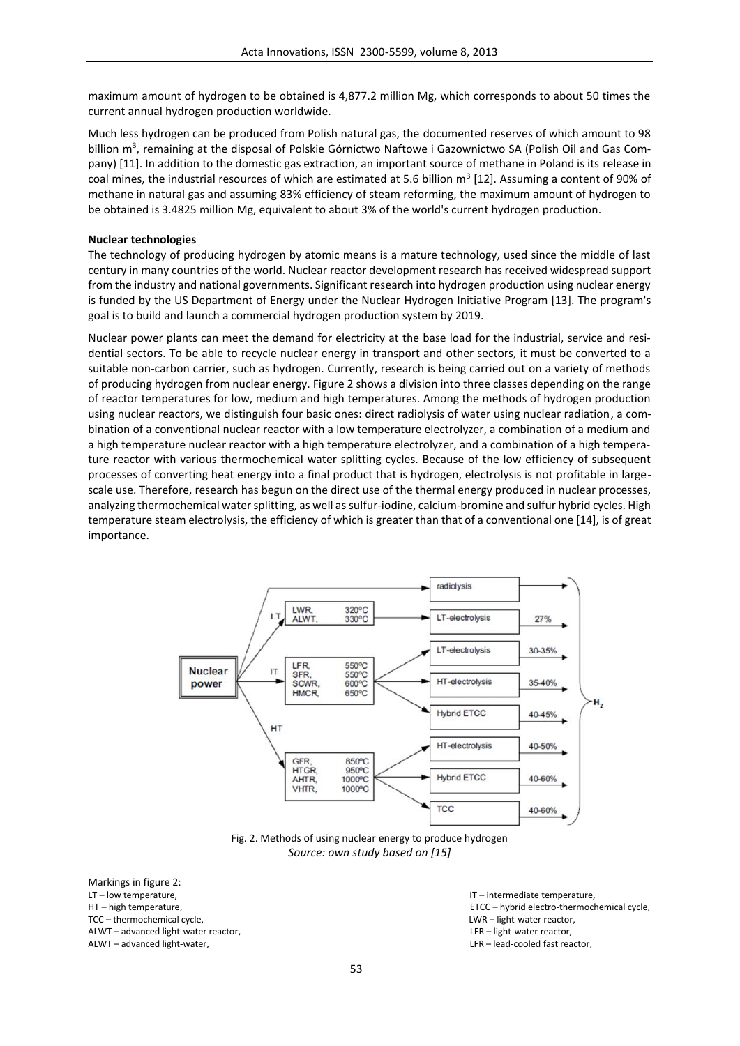maximum amount of hydrogen to be obtained is 4,877.2 million Mg, which corresponds to about 50 times the current annual hydrogen production worldwide.

Much less hydrogen can be produced from Polish natural gas, the documented reserves of which amount to 98 billion m<sup>3</sup>, remaining at the disposal of Polskie Górnictwo Naftowe i Gazownictwo SA (Polish Oil and Gas Company) [11]. In addition to the domestic gas extraction, an important source of methane in Poland is its release in coal mines, the industrial resources of which are estimated at 5.6 billion  $m^3$  [12]. Assuming a content of 90% of methane in natural gas and assuming 83% efficiency of steam reforming, the maximum amount of hydrogen to be obtained is 3.4825 million Mg, equivalent to about 3% of the world's current hydrogen production.

#### **Nuclear technologies**

The technology of producing hydrogen by atomic means is a mature technology, used since the middle of last century in many countries of the world. Nuclear reactor development research has received widespread support from the industry and national governments. Significant research into hydrogen production using nuclear energy is funded by the US Department of Energy under the Nuclear Hydrogen Initiative Program [13]. The program's goal is to build and launch a commercial hydrogen production system by 2019.

Nuclear power plants can meet the demand for electricity at the base load for the industrial, service and residential sectors. To be able to recycle nuclear energy in transport and other sectors, it must be converted to a suitable non-carbon carrier, such as hydrogen. Currently, research is being carried out on a variety of methods of producing hydrogen from nuclear energy. Figure 2 shows a division into three classes depending on the range of reactor temperatures for low, medium and high temperatures. Among the methods of hydrogen production using nuclear reactors, we distinguish four basic ones: direct radiolysis of water using nuclear radiation, a combination of a conventional nuclear reactor with a low temperature electrolyzer, a combination of a medium and a high temperature nuclear reactor with a high temperature electrolyzer, and a combination of a high temperature reactor with various thermochemical water splitting cycles. Because of the low efficiency of subsequent processes of converting heat energy into a final product that is hydrogen, electrolysis is not profitable in large scale use. Therefore, research has begun on the direct use of the thermal energy produced in nuclear processes, analyzing thermochemical water splitting, as well as sulfur-iodine, calcium-bromine and sulfur hybrid cycles. High temperature steam electrolysis, the efficiency of which is greater than that of a conventional one [14], is of great importance.



Fig. 2. Methods of using nuclear energy to produce hydrogen *Source: own study based on [15]*

Markings in figure 2: LT – low temperature, and the state of the state of the state of the state of the state of the state of the state of the state of the state of the state of the state of the state of the state of the state of the state of t TCC – thermochemical cycle,  $LWR$  – light-water reactor, ALWT – advanced light-water reactor, LFR – light-water reactor, ALWT – advanced light-water, LFR – lead-cooled fast reactor,

HT – high temperature, ETCC – hybrid electro-thermochemical cycle,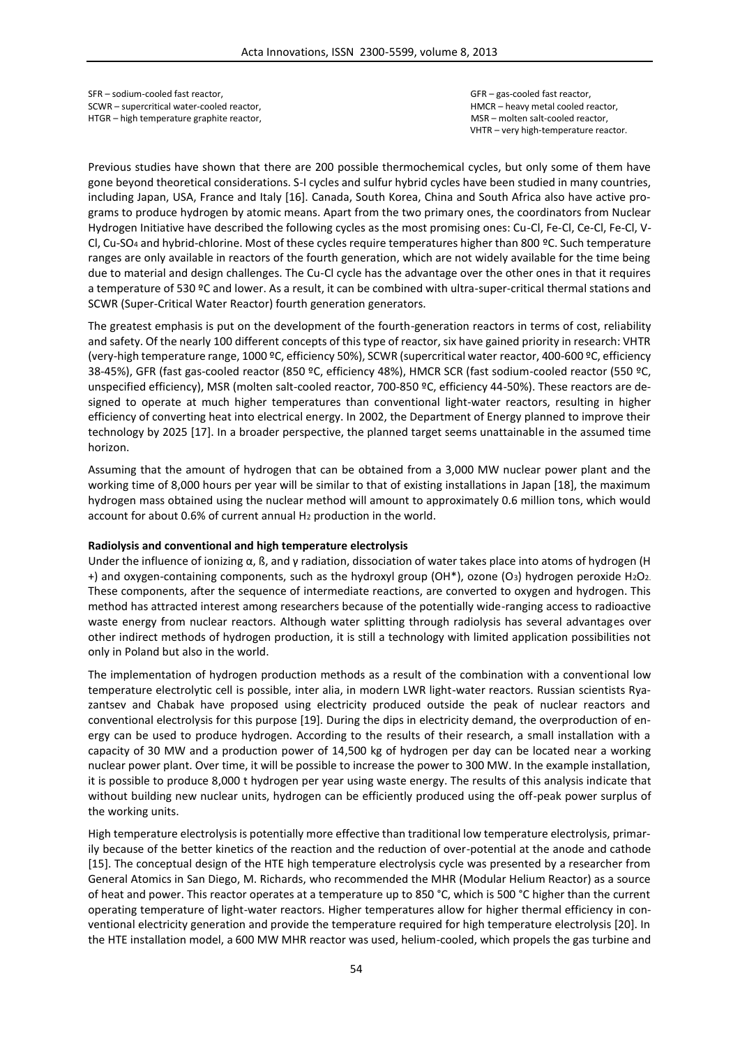SFR – sodium-cooled fast reactor, GFR – gas-cooled fast reactor, SCWR – supercritical water-cooled reactor, HMCR – heavy metal cooled reactor, HTGR – high temperature graphite reactor, and the molten salt-cooled reactor, MSR – molten salt-cooled reactor,

VHTR – very high-temperature reactor.

Previous studies have shown that there are 200 possible thermochemical cycles, but only some of them have gone beyond theoretical considerations. S-I cycles and sulfur hybrid cycles have been studied in many countries, including Japan, USA, France and Italy [16]. Canada, South Korea, China and South Africa also have active programs to produce hydrogen by atomic means. Apart from the two primary ones, the coordinators from Nuclear Hydrogen Initiative have described the following cycles as the most promising ones: Cu-Cl, Fe-Cl, Ce-Cl, Fe-Cl, V- Cl, Cu-SO<sup>4</sup> and hybrid-chlorine. Most of these cycles require temperatures higher than 800 ºC. Such temperature ranges are only available in reactors of the fourth generation, which are not widely available for the time being due to material and design challenges. The Cu-Cl cycle has the advantage over the other ones in that it requires a temperature of 530 ºC and lower. As a result, it can be combined with ultra-super-critical thermal stations and SCWR (Super-Critical Water Reactor) fourth generation generators.

The greatest emphasis is put on the development of the fourth-generation reactors in terms of cost, reliability and safety. Of the nearly 100 different concepts of this type of reactor, six have gained priority in research: VHTR (very-high temperature range, 1000 ºC, efficiency 50%), SCWR (supercritical water reactor, 400-600 ºC, efficiency 38-45%), GFR (fast gas-cooled reactor (850 ºC, efficiency 48%), HMCR SCR (fast sodium-cooled reactor (550 ºC, unspecified efficiency), MSR (molten salt-cooled reactor, 700-850 ºC, efficiency 44-50%). These reactors are designed to operate at much higher temperatures than conventional light-water reactors, resulting in higher efficiency of converting heat into electrical energy. In 2002, the Department of Energy planned to improve their technology by 2025 [17]. In a broader perspective, the planned target seems unattainable in the assumed time horizon.

Assuming that the amount of hydrogen that can be obtained from a 3,000 MW nuclear power plant and the working time of 8,000 hours per year will be similar to that of existing installations in Japan [18], the maximum hydrogen mass obtained using the nuclear method will amount to approximately 0.6 million tons, which would account for about 0.6% of current annual H<sup>2</sup> production in the world.

### **Radiolysis and conventional and high temperature electrolysis**

Under the influence of ionizing  $\alpha$ ,  $\beta$ , and  $\gamma$  radiation, dissociation of water takes place into atoms of hydrogen (H +) and oxygen-containing components, such as the hydroxyl group (OH\*), ozone (O<sub>3</sub>) hydrogen peroxide H<sub>2</sub>O<sub>2.</sub> These components, after the sequence of intermediate reactions, are converted to oxygen and hydrogen. This method has attracted interest among researchers because of the potentially wide-ranging access to radioactive waste energy from nuclear reactors. Although water splitting through radiolysis has several advantages over other indirect methods of hydrogen production, it is still a technology with limited application possibilities not only in Poland but also in the world.

The implementation of hydrogen production methods as a result of the combination with a conventional low temperature electrolytic cell is possible, inter alia, in modern LWR light-water reactors. Russian scientists Ryazantsev and Chabak have proposed using electricity produced outside the peak of nuclear reactors and conventional electrolysis for this purpose [19]. During the dips in electricity demand, the overproduction of energy can be used to produce hydrogen. According to the results of their research, a small installation with a capacity of 30 MW and a production power of 14,500 kg of hydrogen per day can be located near a working nuclear power plant. Over time, it will be possible to increase the power to 300 MW. In the example installation, it is possible to produce 8,000 t hydrogen per year using waste energy. The results of this analysis indicate that without building new nuclear units, hydrogen can be efficiently produced using the off-peak power surplus of the working units.

High temperature electrolysis is potentially more effective than traditional low temperature electrolysis, primarily because of the better kinetics of the reaction and the reduction of over-potential at the anode and cathode [15]. The conceptual design of the HTE high temperature electrolysis cycle was presented by a researcher from General Atomics in San Diego, M. Richards, who recommended the MHR (Modular Helium Reactor) as a source of heat and power. This reactor operates at a temperature up to 850 °C, which is 500 °C higher than the current operating temperature of light-water reactors. Higher temperatures allow for higher thermal efficiency in conventional electricity generation and provide the temperature required for high temperature electrolysis [20]. In the HTE installation model, a 600 MW MHR reactor was used, helium-cooled, which propels the gas turbine and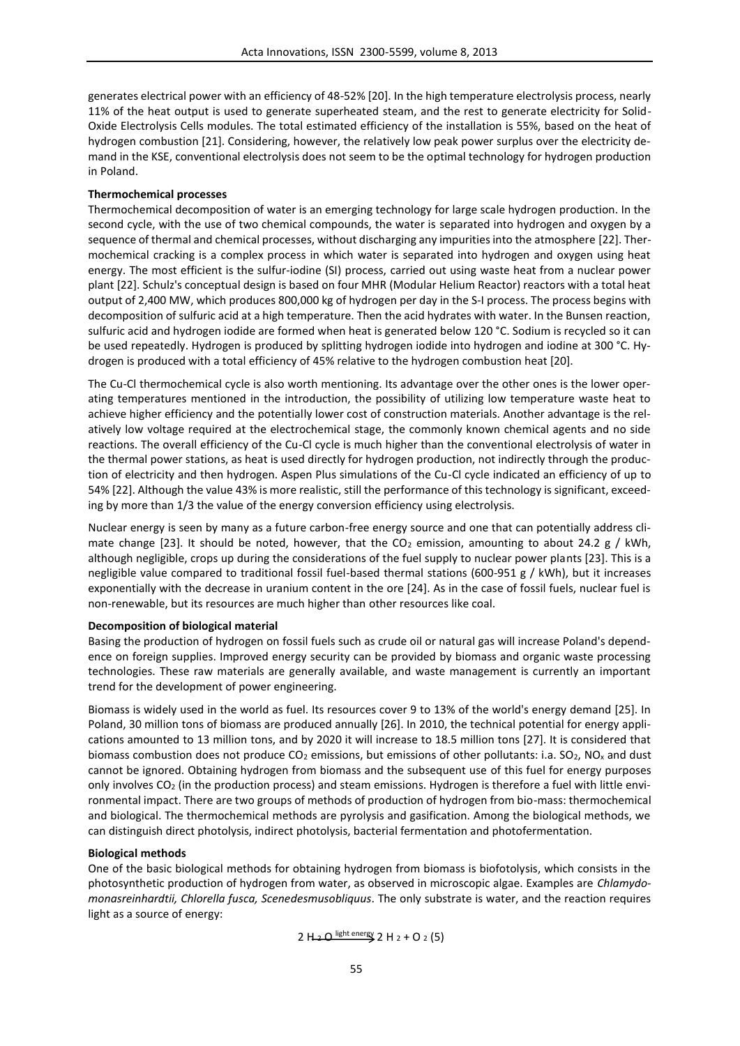generates electrical power with an efficiency of 48-52% [20]. In the high temperature electrolysis process, nearly 11% of the heat output is used to generate superheated steam, and the rest to generate electricity for Solid- Oxide Electrolysis Cells modules. The total estimated efficiency of the installation is 55%, based on the heat of hydrogen combustion [21]. Considering, however, the relatively low peak power surplus over the electricity demand in the KSE, conventional electrolysis does not seem to be the optimal technology for hydrogen production in Poland.

## **Thermochemical processes**

Thermochemical decomposition of water is an emerging technology for large scale hydrogen production. In the second cycle, with the use of two chemical compounds, the water is separated into hydrogen and oxygen by a sequence of thermal and chemical processes, without discharging any impurities into the atmosphere [22]. Thermochemical cracking is a complex process in which water is separated into hydrogen and oxygen using heat energy. The most efficient is the sulfur-iodine (SI) process, carried out using waste heat from a nuclear power plant [22]. Schulz's conceptual design is based on four MHR (Modular Helium Reactor) reactors with a total heat output of 2,400 MW, which produces 800,000 kg of hydrogen per day in the S-I process. The process begins with decomposition of sulfuric acid at a high temperature. Then the acid hydrates with water. In the Bunsen reaction, sulfuric acid and hydrogen iodide are formed when heat is generated below 120 °C. Sodium is recycled so it can be used repeatedly. Hydrogen is produced by splitting hydrogen iodide into hydrogen and iodine at 300 °C. Hydrogen is produced with a total efficiency of 45% relative to the hydrogen combustion heat [20].

The Cu-Cl thermochemical cycle is also worth mentioning. Its advantage over the other ones is the lower operating temperatures mentioned in the introduction, the possibility of utilizing low temperature waste heat to achieve higher efficiency and the potentially lower cost of construction materials. Another advantage is the relatively low voltage required at the electrochemical stage, the commonly known chemical agents and no side reactions. The overall efficiency of the Cu-Cl cycle is much higher than the conventional electrolysis of water in the thermal power stations, as heat is used directly for hydrogen production, not indirectly through the production of electricity and then hydrogen. Aspen Plus simulations of the Cu-Cl cycle indicated an efficiency of up to 54% [22]. Although the value 43% is more realistic, still the performance of this technology is significant, exceeding by more than 1/3 the value of the energy conversion efficiency using electrolysis.

Nuclear energy is seen by many as a future carbon-free energy source and one that can potentially address climate change [23]. It should be noted, however, that the  $CO<sub>2</sub>$  emission, amounting to about 24.2 g / kWh, although negligible, crops up during the considerations of the fuel supply to nuclear power plants [23]. This is a negligible value compared to traditional fossil fuel-based thermal stations (600-951 g / kWh), but it increases exponentially with the decrease in uranium content in the ore [24]. As in the case of fossil fuels, nuclear fuel is non-renewable, but its resources are much higher than other resources like coal.

### **Decomposition of biological material**

Basing the production of hydrogen on fossil fuels such as crude oil or natural gas will increase Poland's dependence on foreign supplies. Improved energy security can be provided by biomass and organic waste processing technologies. These raw materials are generally available, and waste management is currently an important trend for the development of power engineering.

Biomass is widely used in the world as fuel. Its resources cover 9 to 13% of the world's energy demand [25]. In Poland, 30 million tons of biomass are produced annually [26]. In 2010, the technical potential for energy applications amounted to 13 million tons, and by 2020 it will increase to 18.5 million tons [27]. It is considered that biomass combustion does not produce CO<sub>2</sub> emissions, but emissions of other pollutants: i.a. SO<sub>2</sub>, NO<sub>x</sub> and dust cannot be ignored. Obtaining hydrogen from biomass and the subsequent use of this fuel for energy purposes only involves CO<sup>2</sup> (in the production process) and steam emissions. Hydrogen is therefore a fuel with little environmental impact. There are two groups of methods of production of hydrogen from bio-mass: thermochemical and biological. The thermochemical methods are pyrolysis and gasification. Among the biological methods, we can distinguish direct photolysis, indirect photolysis, bacterial fermentation and photofermentation.

## **Biological methods**

One of the basic biological methods for obtaining hydrogen from biomass is biofotolysis, which consists in the photosynthetic production of hydrogen from water, as observed in microscopic algae. Examples are *Chlamydomonasreinhardtii, Chlorella fusca, Scenedesmusobliquus*. The only substrate is water, and the reaction requires light as a source of energy:

2 H<sub>2</sub> O light energy 2 H<sub>2</sub> + O<sub>2</sub> (5)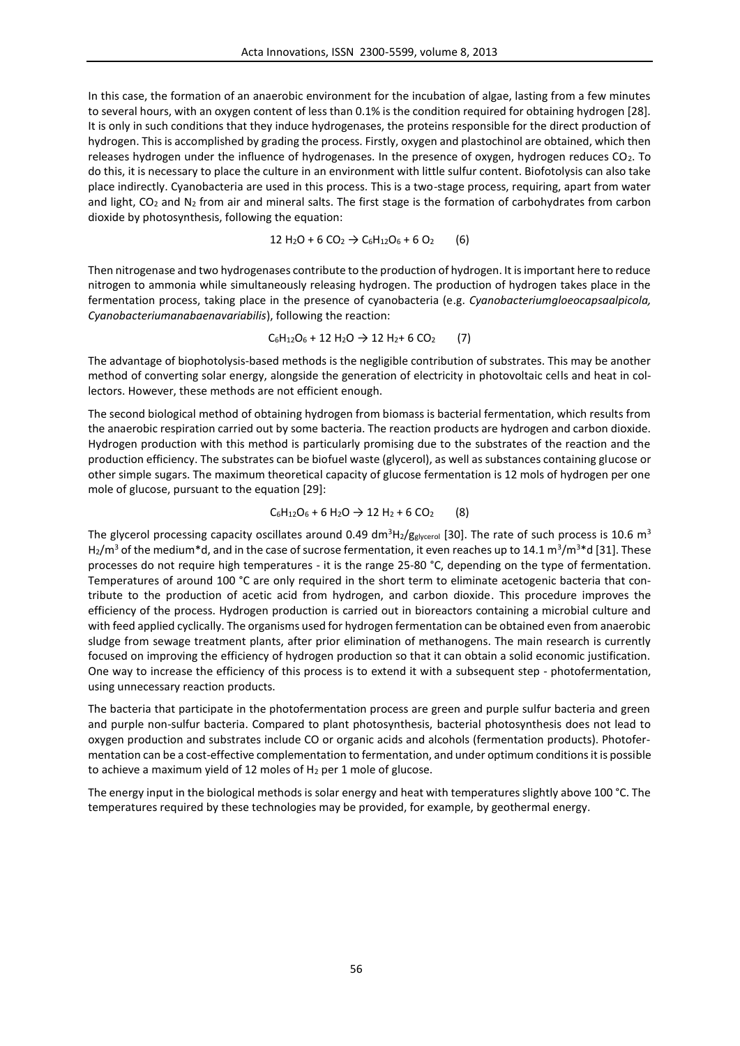In this case, the formation of an anaerobic environment for the incubation of algae, lasting from a few minutes to several hours, with an oxygen content of less than 0.1% is the condition required for obtaining hydrogen [28]. It is only in such conditions that they induce hydrogenases, the proteins responsible for the direct production of hydrogen. This is accomplished by grading the process. Firstly, oxygen and plastochinol are obtained, which then releases hydrogen under the influence of hydrogenases. In the presence of oxygen, hydrogen reduces CO2. To do this, it is necessary to place the culture in an environment with little sulfur content. Biofotolysis can also take place indirectly. Cyanobacteria are used in this process. This is a two-stage process, requiring, apart from water and light,  $CO_2$  and  $N_2$  from air and mineral salts. The first stage is the formation of carbohydrates from carbon dioxide by photosynthesis, following the equation:

12 H<sub>2</sub>O + 6 CO<sub>2</sub>  $\rightarrow$  C<sub>6</sub>H<sub>12</sub>O<sub>6</sub> + 6 O<sub>2</sub> (6)

Then nitrogenase and two hydrogenases contribute to the production of hydrogen. It is important here to reduce nitrogen to ammonia while simultaneously releasing hydrogen. The production of hydrogen takes place in the fermentation process, taking place in the presence of cyanobacteria (e.g. *Cyanobacteriumgloeocapsaalpicola, Cyanobacteriumanabaenavariabilis*), following the reaction:

$$
C_6H_{12}O_6 + 12 H_2O \rightarrow 12 H_2 + 6 CO_2 \qquad (7)
$$

The advantage of biophotolysis-based methods is the negligible contribution of substrates. This may be another method of converting solar energy, alongside the generation of electricity in photovoltaic cells and heat in collectors. However, these methods are not efficient enough.

The second biological method of obtaining hydrogen from biomass is bacterial fermentation, which results from the anaerobic respiration carried out by some bacteria. The reaction products are hydrogen and carbon dioxide. Hydrogen production with this method is particularly promising due to the substrates of the reaction and the production efficiency. The substrates can be biofuel waste (glycerol), as well as substances containing glucose or other simple sugars. The maximum theoretical capacity of glucose fermentation is 12 mols of hydrogen per one mole of glucose, pursuant to the equation [29]:

$$
C_6H_{12}O_6 + 6H_2O \rightarrow 12H_2 + 6CO_2
$$
 (8)

The glycerol processing capacity oscillates around 0.49 dm<sup>3</sup>H<sub>2</sub>/g<sub>glycerol</sub> [30]. The rate of such process is 10.6 m<sup>3</sup> H<sub>2</sub>/m<sup>3</sup> of the medium\*d, and in the case of sucrose fermentation, it even reaches up to 14.1 m<sup>3</sup>/m<sup>3</sup>\*d [31]. These processes do not require high temperatures - it is the range 25-80 °C, depending on the type of fermentation. Temperatures of around 100 °C are only required in the short term to eliminate acetogenic bacteria that contribute to the production of acetic acid from hydrogen, and carbon dioxide. This procedure improves the efficiency of the process. Hydrogen production is carried out in bioreactors containing a microbial culture and with feed applied cyclically. The organisms used for hydrogen fermentation can be obtained even from anaerobic sludge from sewage treatment plants, after prior elimination of methanogens. The main research is currently focused on improving the efficiency of hydrogen production so that it can obtain a solid economic justification. One way to increase the efficiency of this process is to extend it with a subsequent step - photofermentation, using unnecessary reaction products.

The bacteria that participate in the photofermentation process are green and purple sulfur bacteria and green and purple non-sulfur bacteria. Compared to plant photosynthesis, bacterial photosynthesis does not lead to oxygen production and substrates include CO or organic acids and alcohols (fermentation products). Photofermentation can be a cost-effective complementation to fermentation, and under optimum conditions it is possible to achieve a maximum yield of 12 moles of H<sub>2</sub> per 1 mole of glucose.

The energy input in the biological methods is solar energy and heat with temperatures slightly above 100 °C. The temperatures required by these technologies may be provided, for example, by geothermal energy.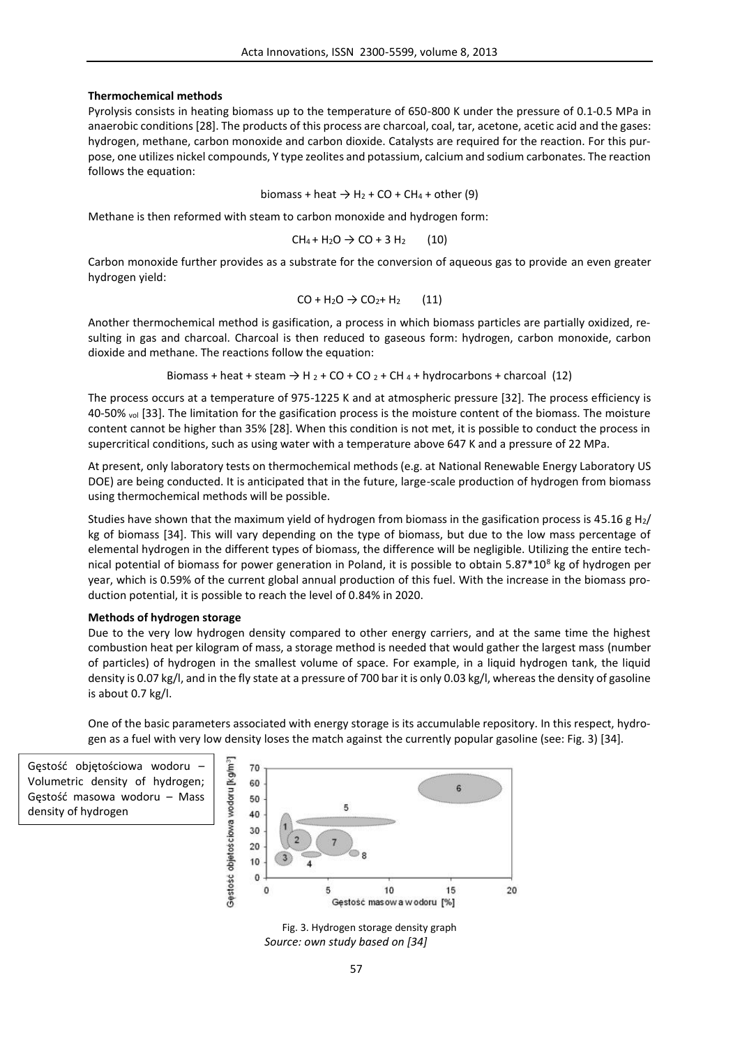## **Thermochemical methods**

Pyrolysis consists in heating biomass up to the temperature of 650-800 K under the pressure of 0.1-0.5 MPa in anaerobic conditions [28]. The products of this process are charcoal, coal, tar, acetone, acetic acid and the gases: hydrogen, methane, carbon monoxide and carbon dioxide. Catalysts are required for the reaction. For this purpose, one utilizes nickel compounds, Y type zeolites and potassium, calcium and sodium carbonates. The reaction follows the equation:

$$
biomass + heat \rightarrow H_2 + CO + CH_4 + other (9)
$$

Methane is then reformed with steam to carbon monoxide and hydrogen form:

$$
CH_4 + H_2O \rightarrow CO + 3 H_2
$$
 (10)

Carbon monoxide further provides as a substrate for the conversion of aqueous gas to provide an even greater hydrogen yield:

$$
CO + H2O \rightarrow CO2 + H2 (11)
$$

Another thermochemical method is gasification, a process in which biomass particles are partially oxidized, resulting in gas and charcoal. Charcoal is then reduced to gaseous form: hydrogen, carbon monoxide, carbon dioxide and methane. The reactions follow the equation:

Biomass + heat + steam 
$$
\rightarrow
$$
 H<sub>2</sub> + CO + CO<sub>2</sub> + CH<sub>4</sub> + hydrocarbons + charcoal (12)

The process occurs at a temperature of 975-1225 K and at atmospheric pressure [32]. The process efficiency is 40-50% vol [33]. The limitation for the gasification process is the moisture content of the biomass. The moisture content cannot be higher than 35% [28]. When this condition is not met, it is possible to conduct the process in supercritical conditions, such as using water with a temperature above 647 K and a pressure of 22 MPa.

At present, only laboratory tests on thermochemical methods (e.g. at National Renewable Energy Laboratory US DOE) are being conducted. It is anticipated that in the future, large-scale production of hydrogen from biomass using thermochemical methods will be possible.

Studies have shown that the maximum yield of hydrogen from biomass in the gasification process is 45.16 g H<sub>2</sub>/ kg of biomass [34]. This will vary depending on the type of biomass, but due to the low mass percentage of elemental hydrogen in the different types of biomass, the difference will be negligible. Utilizing the entire technical potential of biomass for power generation in Poland, it is possible to obtain  $5.87*10<sup>8</sup>$  kg of hydrogen per year, which is 0.59% of the current global annual production of this fuel. With the increase in the biomass production potential, it is possible to reach the level of 0.84% in 2020.

## **Methods of hydrogen storage**

Due to the very low hydrogen density compared to other energy carriers, and at the same time the highest combustion heat per kilogram of mass, a storage method is needed that would gather the largest mass (number of particles) of hydrogen in the smallest volume of space. For example, in a liquid hydrogen tank, the liquid density is 0.07 kg/l, and in the fly state at a pressure of 700 bar it is only 0.03 kg/l, whereas the density of gasoline is about 0.7 kg/l.

One of the basic parameters associated with energy storage is its accumulable repository. In this respect, hydrogen as a fuel with very low density loses the match against the currently popular gasoline (see: Fig. 3) [34].

Gęstość objętościowa wodoru – Volumetric density of hydrogen; Gęstość masowa wodoru – Mass density of hydrogen



Fig. 3. Hydrogen storage density graph *Source: own study based on [34]*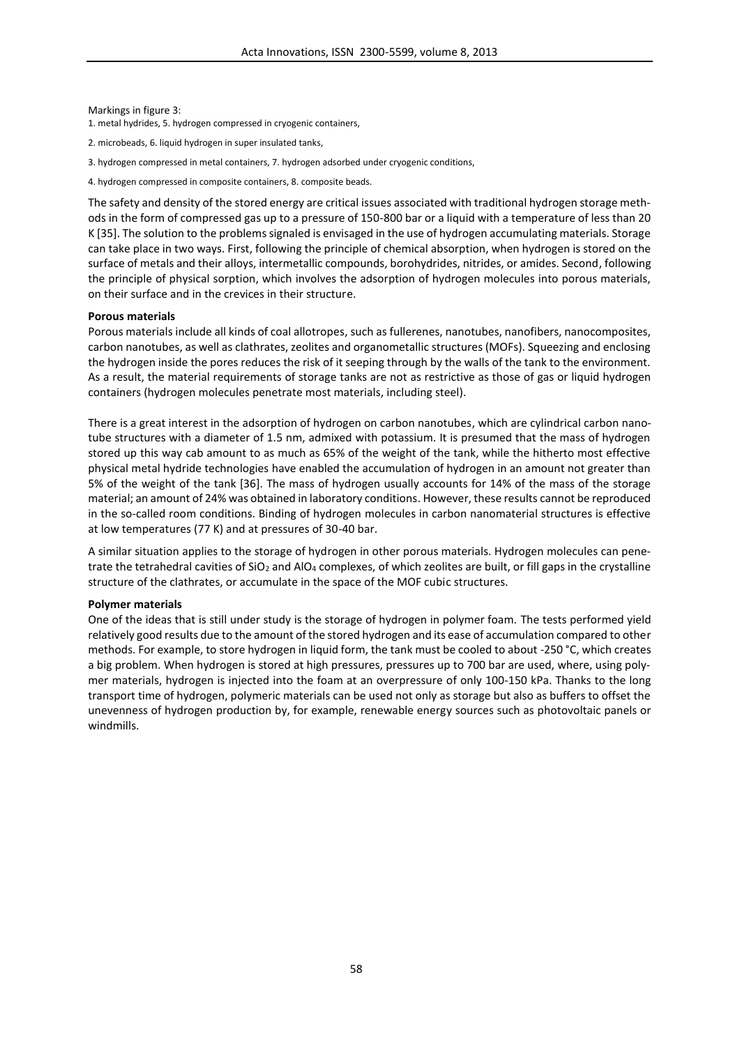Markings in figure 3:

1. metal hydrides, 5. hydrogen compressed in cryogenic containers,

- 2. microbeads, 6. liquid hydrogen in super insulated tanks,
- 3. hydrogen compressed in metal containers, 7. hydrogen adsorbed under cryogenic conditions,
- 4. hydrogen compressed in composite containers, 8. composite beads.

The safety and density of the stored energy are critical issues associated with traditional hydrogen storage methods in the form of compressed gas up to a pressure of 150-800 bar or a liquid with a temperature of less than 20 K [35]. The solution to the problems signaled is envisaged in the use of hydrogen accumulating materials. Storage can take place in two ways. First, following the principle of chemical absorption, when hydrogen is stored on the surface of metals and their alloys, intermetallic compounds, borohydrides, nitrides, or amides. Second, following the principle of physical sorption, which involves the adsorption of hydrogen molecules into porous materials, on their surface and in the crevices in their structure.

### **Porous materials**

Porous materials include all kinds of coal allotropes, such as fullerenes, nanotubes, nanofibers, nanocomposites, carbon nanotubes, as well as clathrates, zeolites and organometallic structures (MOFs). Squeezing and enclosing the hydrogen inside the pores reduces the risk of it seeping through by the walls of the tank to the environment. As a result, the material requirements of storage tanks are not as restrictive as those of gas or liquid hydrogen containers (hydrogen molecules penetrate most materials, including steel).

There is a great interest in the adsorption of hydrogen on carbon nanotubes, which are cylindrical carbon nanotube structures with a diameter of 1.5 nm, admixed with potassium. It is presumed that the mass of hydrogen stored up this way cab amount to as much as 65% of the weight of the tank, while the hitherto most effective physical metal hydride technologies have enabled the accumulation of hydrogen in an amount not greater than 5% of the weight of the tank [36]. The mass of hydrogen usually accounts for 14% of the mass of the storage material; an amount of 24% was obtained in laboratory conditions. However, these results cannot be reproduced in the so-called room conditions. Binding of hydrogen molecules in carbon nanomaterial structures is effective at low temperatures (77 K) and at pressures of 30-40 bar.

A similar situation applies to the storage of hydrogen in other porous materials. Hydrogen molecules can penetrate the tetrahedral cavities of  $SiO<sub>2</sub>$  and  $AlO<sub>4</sub>$  complexes, of which zeolites are built, or fill gaps in the crystalline structure of the clathrates, or accumulate in the space of the MOF cubic structures.

### **Polymer materials**

One of the ideas that is still under study is the storage of hydrogen in polymer foam. The tests performed yield relatively good results due to the amount of the stored hydrogen and its ease of accumulation compared to other methods. For example, to store hydrogen in liquid form, the tank must be cooled to about -250 °C, which creates a big problem. When hydrogen is stored at high pressures, pressures up to 700 bar are used, where, using polymer materials, hydrogen is injected into the foam at an overpressure of only 100-150 kPa. Thanks to the long transport time of hydrogen, polymeric materials can be used not only as storage but also as buffers to offset the unevenness of hydrogen production by, for example, renewable energy sources such as photovoltaic panels or windmills.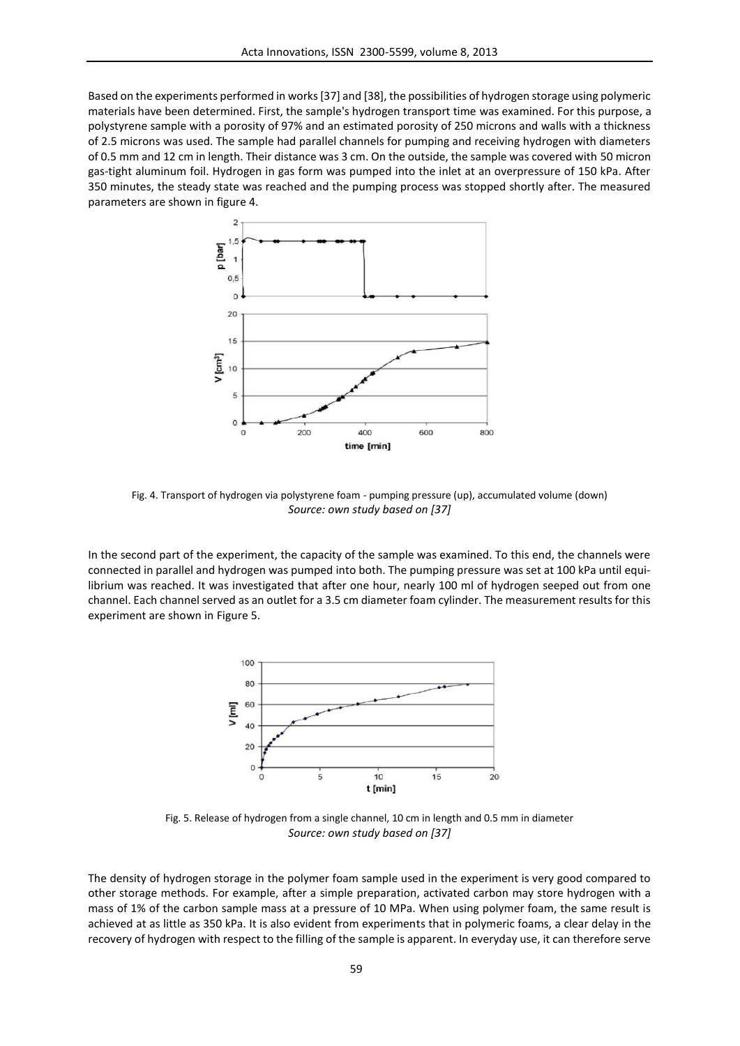Based on the experiments performed in works [37] and [38], the possibilities of hydrogen storage using polymeric materials have been determined. First, the sample's hydrogen transport time was examined. For this purpose, a polystyrene sample with a porosity of 97% and an estimated porosity of 250 microns and walls with a thickness of 2.5 microns was used. The sample had parallel channels for pumping and receiving hydrogen with diameters of 0.5 mm and 12 cm in length. Their distance was 3 cm. On the outside, the sample was covered with 50 micron gas-tight aluminum foil. Hydrogen in gas form was pumped into the inlet at an overpressure of 150 kPa. After 350 minutes, the steady state was reached and the pumping process was stopped shortly after. The measured parameters are shown in figure 4.



Fig. 4. Transport of hydrogen via polystyrene foam - pumping pressure (up), accumulated volume (down) *Source: own study based on [37]*

In the second part of the experiment, the capacity of the sample was examined. To this end, the channels were connected in parallel and hydrogen was pumped into both. The pumping pressure was set at 100 kPa until equilibrium was reached. It was investigated that after one hour, nearly 100 ml of hydrogen seeped out from one channel. Each channel served as an outlet for a 3.5 cm diameter foam cylinder. The measurement results for this experiment are shown in Figure 5.



Fig. 5. Release of hydrogen from a single channel, 10 cm in length and 0.5 mm in diameter *Source: own study based on [37]*

The density of hydrogen storage in the polymer foam sample used in the experiment is very good compared to other storage methods. For example, after a simple preparation, activated carbon may store hydrogen with a mass of 1% of the carbon sample mass at a pressure of 10 MPa. When using polymer foam, the same result is achieved at as little as 350 kPa. It is also evident from experiments that in polymeric foams, a clear delay in the recovery of hydrogen with respect to the filling of the sample is apparent. In everyday use, it can therefore serve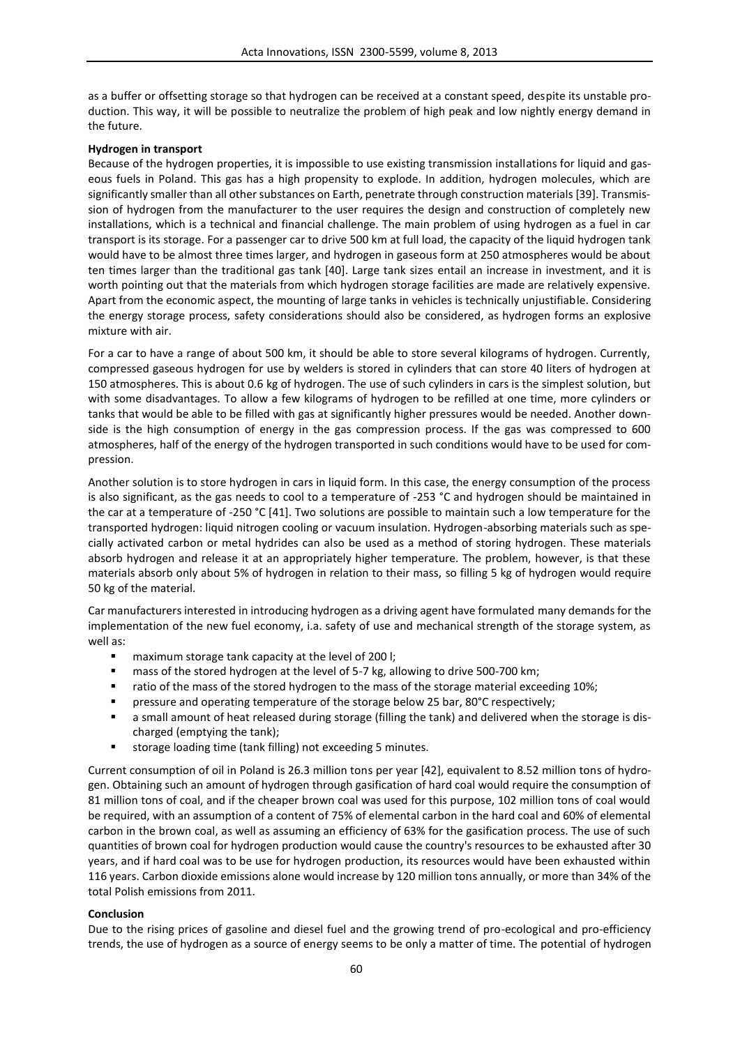as a buffer or offsetting storage so that hydrogen can be received at a constant speed, despite its unstable production. This way, it will be possible to neutralize the problem of high peak and low nightly energy demand in the future.

## **Hydrogen in transport**

Because of the hydrogen properties, it is impossible to use existing transmission installations for liquid and gaseous fuels in Poland. This gas has a high propensity to explode. In addition, hydrogen molecules, which are significantly smaller than all other substances on Earth, penetrate through construction materials [39]. Transmission of hydrogen from the manufacturer to the user requires the design and construction of completely new installations, which is a technical and financial challenge. The main problem of using hydrogen as a fuel in car transport is its storage. For a passenger car to drive 500 km at full load, the capacity of the liquid hydrogen tank would have to be almost three times larger, and hydrogen in gaseous form at 250 atmospheres would be about ten times larger than the traditional gas tank [40]. Large tank sizes entail an increase in investment, and it is worth pointing out that the materials from which hydrogen storage facilities are made are relatively expensive. Apart from the economic aspect, the mounting of large tanks in vehicles is technically unjustifiable. Considering the energy storage process, safety considerations should also be considered, as hydrogen forms an explosive mixture with air.

For a car to have a range of about 500 km, it should be able to store several kilograms of hydrogen. Currently, compressed gaseous hydrogen for use by welders is stored in cylinders that can store 40 liters of hydrogen at 150 atmospheres. This is about 0.6 kg of hydrogen. The use of such cylinders in cars is the simplest solution, but with some disadvantages. To allow a few kilograms of hydrogen to be refilled at one time, more cylinders or tanks that would be able to be filled with gas at significantly higher pressures would be needed. Another downside is the high consumption of energy in the gas compression process. If the gas was compressed to 600 atmospheres, half of the energy of the hydrogen transported in such conditions would have to be used for compression.

Another solution is to store hydrogen in cars in liquid form. In this case, the energy consumption of the process is also significant, as the gas needs to cool to a temperature of -253 °C and hydrogen should be maintained in the car at a temperature of -250 °C [41]. Two solutions are possible to maintain such a low temperature for the transported hydrogen: liquid nitrogen cooling or vacuum insulation. Hydrogen-absorbing materials such as specially activated carbon or metal hydrides can also be used as a method of storing hydrogen. These materials absorb hydrogen and release it at an appropriately higher temperature. The problem, however, is that these materials absorb only about 5% of hydrogen in relation to their mass, so filling 5 kg of hydrogen would require 50 kg of the material.

Car manufacturers interested in introducing hydrogen as a driving agent have formulated many demands for the implementation of the new fuel economy, i.a. safety of use and mechanical strength of the storage system, as well as:

- maximum storage tank capacity at the level of 200 l;
- **nass of the stored hydrogen at the level of 5-7 kg, allowing to drive 500-700 km;**
- ratio of the mass of the stored hydrogen to the mass of the storage material exceeding 10%;
- pressure and operating temperature of the storage below 25 bar, 80°C respectively;
- a small amount of heat released during storage (filling the tank) and delivered when the storage is discharged (emptying the tank);
- storage loading time (tank filling) not exceeding 5 minutes.

Current consumption of oil in Poland is 26.3 million tons per year [42], equivalent to 8.52 million tons of hydrogen. Obtaining such an amount of hydrogen through gasification of hard coal would require the consumption of 81 million tons of coal, and if the cheaper brown coal was used for this purpose, 102 million tons of coal would be required, with an assumption of a content of 75% of elemental carbon in the hard coal and 60% of elemental carbon in the brown coal, as well as assuming an efficiency of 63% for the gasification process. The use of such quantities of brown coal for hydrogen production would cause the country's resources to be exhausted after 30 years, and if hard coal was to be use for hydrogen production, its resources would have been exhausted within 116 years. Carbon dioxide emissions alone would increase by 120 million tons annually, or more than 34% of the total Polish emissions from 2011.

### **Conclusion**

Due to the rising prices of gasoline and diesel fuel and the growing trend of pro-ecological and pro-efficiency trends, the use of hydrogen as a source of energy seems to be only a matter of time. The potential of hydrogen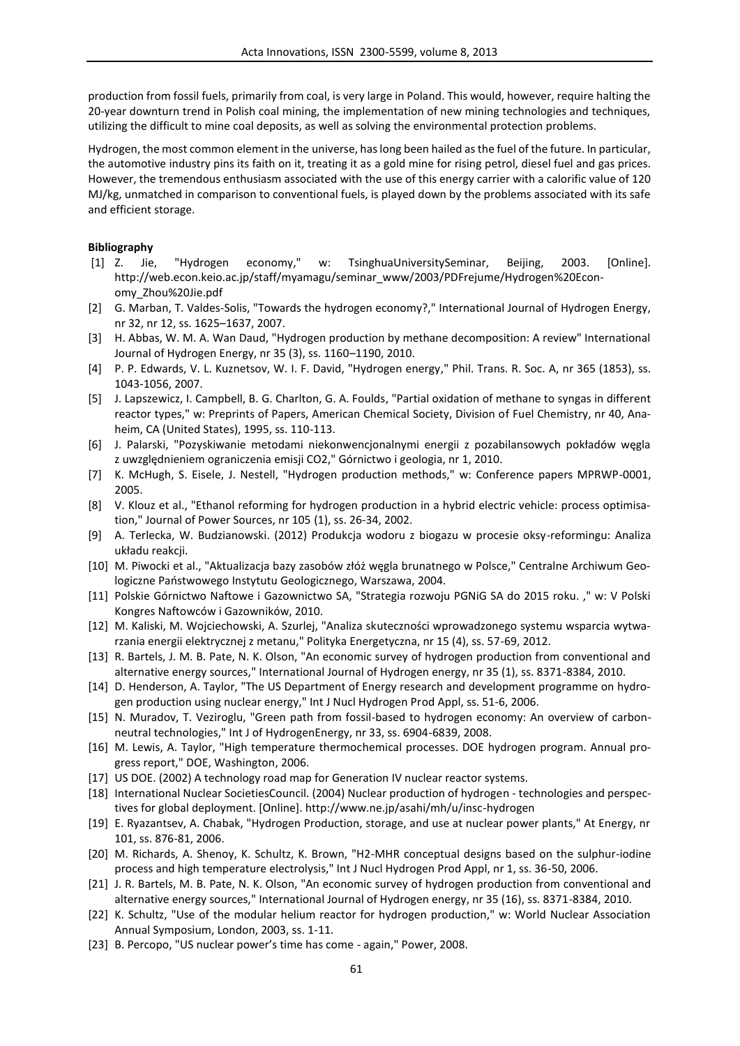production from fossil fuels, primarily from coal, is very large in Poland. This would, however, require halting the 20-year downturn trend in Polish coal mining, the implementation of new mining technologies and techniques, utilizing the difficult to mine coal deposits, as well as solving the environmental protection problems.

Hydrogen, the most common element in the universe, has long been hailed as the fuel of the future. In particular, the automotive industry pins its faith on it, treating it as a gold mine for rising petrol, diesel fuel and gas prices. However, the tremendous enthusiasm associated with the use of this energy carrier with a calorific value of 120 MJ/kg, unmatched in comparison to conventional fuels, is played down by the problems associated with its safe and efficient storage.

## **Bibliography**

- [1] Z. Jie, "Hydrogen economy," w: TsinghuaUniversitySeminar, Beijing, 2003. [Online]. http://web.econ.keio.ac.jp/staff/myamagu/seminar\_www/2003/PDFrejume/Hydrogen%20Economy\_Zhou%20Jie.pdf
- [2] G. Marban, T. Valdes-Solis, "Towards the hydrogen economy?," International Journal of Hydrogen Energy, nr 32, nr 12, ss. 1625–1637, 2007.
- [3] H. Abbas, W. M. A. Wan Daud, "Hydrogen production by methane decomposition: A review" International Journal of Hydrogen Energy, nr 35 (3), ss. 1160–1190, 2010.
- [4] P. P. Edwards, V. L. Kuznetsov, W. I. F. David, "Hydrogen energy," Phil. Trans. R. Soc. A, nr 365 (1853), ss. 1043-1056, 2007.
- [5] J. Lapszewicz, I. Campbell, B. G. Charlton, G. A. Foulds, "Partial oxidation of methane to syngas in different reactor types," w: Preprints of Papers, American Chemical Society, Division of Fuel Chemistry, nr 40, Anaheim, CA (United States), 1995, ss. 110-113.
- [6] J. Palarski, "Pozyskiwanie metodami niekonwencjonalnymi energii z pozabilansowych pokładów węgla z uwzględnieniem ograniczenia emisji CO2," Górnictwo i geologia, nr 1, 2010.
- [7] K. McHugh, S. Eisele, J. Nestell, "Hydrogen production methods," w: Conference papers MPRWP-0001, 2005.
- [8] V. Klouz et al., "Ethanol reforming for hydrogen production in a hybrid electric vehicle: process optimisation," Journal of Power Sources, nr 105 (1), ss. 26-34, 2002.
- [9] A. Terlecka, W. Budzianowski. (2012) Produkcja wodoru z biogazu w procesie oksy-reformingu: Analiza układu reakcji.
- [10] M. Piwocki et al., "Aktualizacja bazy zasobów złóż węgla brunatnego w Polsce," Centralne Archiwum Geologiczne Państwowego Instytutu Geologicznego, Warszawa, 2004.
- [11] Polskie Górnictwo Naftowe i Gazownictwo SA, "Strategia rozwoju PGNiG SA do 2015 roku. ," w: V Polski Kongres Naftowców i Gazowników, 2010.
- [12] M. Kaliski, M. Wojciechowski, A. Szurlej, "Analiza skuteczności wprowadzonego systemu wsparcia wytwarzania energii elektrycznej z metanu," Polityka Energetyczna, nr 15 (4), ss. 57-69, 2012.
- [13] R. Bartels, J. M. B. Pate, N. K. Olson, "An economic survey of hydrogen production from conventional and alternative energy sources," International Journal of Hydrogen energy, nr 35 (1), ss. 8371-8384, 2010.
- [14] D. Henderson, A. Taylor, "The US Department of Energy research and development programme on hydrogen production using nuclear energy," Int J Nucl Hydrogen Prod Appl, ss. 51-6, 2006.
- [15] N. Muradov, T. Veziroglu, "Green path from fossil-based to hydrogen economy: An overview of carbon neutral technologies," Int J of HydrogenEnergy, nr 33, ss. 6904-6839, 2008.
- [16] M. Lewis, A. Taylor, "High temperature thermochemical processes. DOE hydrogen program. Annual progress report," DOE, Washington, 2006.
- [17] US DOE. (2002) A technology road map for Generation IV nuclear reactor systems.
- [18] International Nuclear SocietiesCouncil. (2004) Nuclear production of hydrogen technologies and perspectives for global deployment. [Online]. http://www.ne.jp/asahi/mh/u/insc-hydrogen
- [19] E. Ryazantsev, A. Chabak, "Hydrogen Production, storage, and use at nuclear power plants," At Energy, nr 101, ss. 876-81, 2006.
- [20] M. Richards, A. Shenoy, K. Schultz, K. Brown, "H2-MHR conceptual designs based on the sulphur-iodine process and high temperature electrolysis," Int J Nucl Hydrogen Prod Appl, nr 1, ss. 36-50, 2006.
- [21] J. R. Bartels, M. B. Pate, N. K. Olson, "An economic survey of hydrogen production from conventional and alternative energy sources," International Journal of Hydrogen energy, nr 35 (16), ss. 8371-8384, 2010.
- [22] K. Schultz, "Use of the modular helium reactor for hydrogen production," w: World Nuclear Association Annual Symposium, London, 2003, ss. 1-11.
- [23] B. Percopo, "US nuclear power's time has come again," Power, 2008.